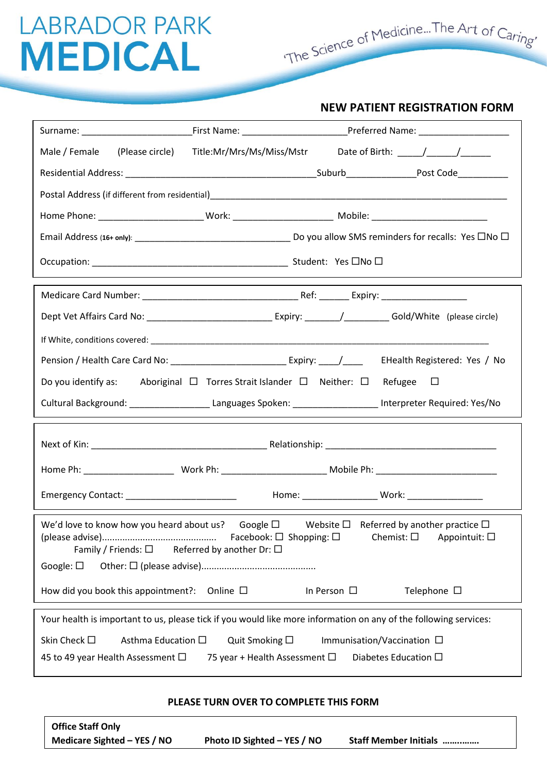The Science of Medicine...The Art of Caring'

#### **NEW PATIENT REGISTRATION FORM**

| Male / Female<br>(Please circle) Title:Mr/Mrs/Ms/Miss/Mstr<br>Date of Birth: $\frac{1}{\sqrt{1-\frac{1}{2}}}\frac{1}{\sqrt{1-\frac{1}{2}}}\frac{1}{\sqrt{1-\frac{1}{2}}}\frac{1}{\sqrt{1-\frac{1}{2}}}\frac{1}{\sqrt{1-\frac{1}{2}}}\frac{1}{\sqrt{1-\frac{1}{2}}}\frac{1}{\sqrt{1-\frac{1}{2}}}\frac{1}{\sqrt{1-\frac{1}{2}}}\frac{1}{\sqrt{1-\frac{1}{2}}}\frac{1}{\sqrt{1-\frac{1}{2}}}\frac{1}{\sqrt{1-\frac{1}{2}}}\frac{1}{\sqrt{1-\frac{1}{2}}}\frac{1}{\sqrt{1-\frac{1$ |  |  |  |
|---------------------------------------------------------------------------------------------------------------------------------------------------------------------------------------------------------------------------------------------------------------------------------------------------------------------------------------------------------------------------------------------------------------------------------------------------------------------------------|--|--|--|
|                                                                                                                                                                                                                                                                                                                                                                                                                                                                                 |  |  |  |
|                                                                                                                                                                                                                                                                                                                                                                                                                                                                                 |  |  |  |
|                                                                                                                                                                                                                                                                                                                                                                                                                                                                                 |  |  |  |
|                                                                                                                                                                                                                                                                                                                                                                                                                                                                                 |  |  |  |
|                                                                                                                                                                                                                                                                                                                                                                                                                                                                                 |  |  |  |
|                                                                                                                                                                                                                                                                                                                                                                                                                                                                                 |  |  |  |
|                                                                                                                                                                                                                                                                                                                                                                                                                                                                                 |  |  |  |
|                                                                                                                                                                                                                                                                                                                                                                                                                                                                                 |  |  |  |
|                                                                                                                                                                                                                                                                                                                                                                                                                                                                                 |  |  |  |
| Do you identify as: Aboriginal $\Box$ Torres Strait Islander $\Box$ Neither: $\Box$ Refugee $\Box$                                                                                                                                                                                                                                                                                                                                                                              |  |  |  |
| Cultural Background: __________________________Languages Spoken: ________________________Interpreter Required: Yes/No                                                                                                                                                                                                                                                                                                                                                           |  |  |  |
|                                                                                                                                                                                                                                                                                                                                                                                                                                                                                 |  |  |  |
|                                                                                                                                                                                                                                                                                                                                                                                                                                                                                 |  |  |  |
| Emergency Contact: ____________________________    Home: ___________________Work: __________________                                                                                                                                                                                                                                                                                                                                                                            |  |  |  |
| We'd love to know how you heard about us? Google $\square$ Website $\square$ Referred by another practice $\square$<br>Chemist: $\square$<br>Appointuit: $\square$<br>Family / Friends: $\square$<br>Referred by another Dr: $\square$<br>Google: $\square$                                                                                                                                                                                                                     |  |  |  |
|                                                                                                                                                                                                                                                                                                                                                                                                                                                                                 |  |  |  |
| How did you book this appointment?:<br>Online $\square$<br>In Person $\Box$<br>Telephone $\Box$                                                                                                                                                                                                                                                                                                                                                                                 |  |  |  |
| Your health is important to us, please tick if you would like more information on any of the following services:                                                                                                                                                                                                                                                                                                                                                                |  |  |  |
| Skin Check □<br>Asthma Education □<br>Quit Smoking □<br>Immunisation/Vaccination □<br>45 to 49 year Health Assessment □<br>75 year + Health Assessment $\Box$<br>Diabetes Education $\square$                                                                                                                                                                                                                                                                                   |  |  |  |

#### **PLEASE TURN OVER TO COMPLETE THIS FORM**

| <b>Office Staff Only</b>    |                             |                               |
|-----------------------------|-----------------------------|-------------------------------|
| Medicare Sighted – YES / NO | Photo ID Sighted - YES / NO | <b>Staff Member Initials </b> |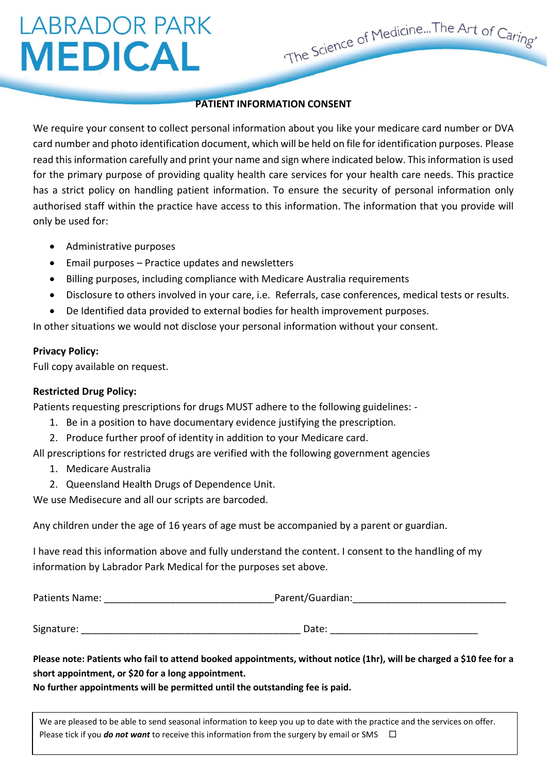#### **PATIENT INFORMATION CONSENT**

The Science of Medicine...The Art of Caring

We require your consent to collect personal information about you like your medicare card number or DVA card number and photo identification document, which will be held on file for identification purposes. Please read this information carefully and print your name and sign where indicated below. This information is used for the primary purpose of providing quality health care services for your health care needs. This practice has a strict policy on handling patient information. To ensure the security of personal information only authorised staff within the practice have access to this information. The information that you provide will only be used for:

- Administrative purposes
- Email purposes Practice updates and newsletters
- Billing purposes, including compliance with Medicare Australia requirements
- Disclosure to others involved in your care, i.e. Referrals, case conferences, medical tests or results.
- De Identified data provided to external bodies for health improvement purposes.

In other situations we would not disclose your personal information without your consent.

#### **Privacy Policy:**

Full copy available on request.

#### **Restricted Drug Policy:**

Patients requesting prescriptions for drugs MUST adhere to the following guidelines: -

- 1. Be in a position to have documentary evidence justifying the prescription.
- 2. Produce further proof of identity in addition to your Medicare card.

All prescriptions for restricted drugs are verified with the following government agencies

- 1. Medicare Australia
- 2. Queensland Health Drugs of Dependence Unit.

We use Medisecure and all our scripts are barcoded.

Any children under the age of 16 years of age must be accompanied by a parent or guardian.

I have read this information above and fully understand the content. I consent to the handling of my information by Labrador Park Medical for the purposes set above.

| Parent/Guardian: |  |
|------------------|--|
|                  |  |
| Date:            |  |
|                  |  |

**Please note: Patients who fail to attend booked appointments, without notice (1hr), will be charged a \$10 fee for a short appointment, or \$20 for a long appointment.**

**No further appointments will be permitted until the outstanding fee is paid.**

We are pleased to be able to send seasonal information to keep you up to date with the practice and the services on offer. Please tick if you **do not want** to receive this information from the surgery by email or SMS  $\Box$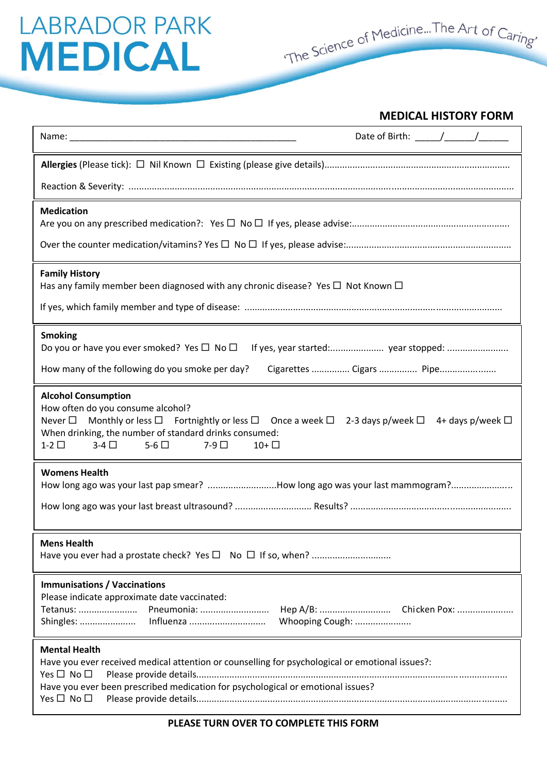### **MEDICAL HISTORY FORM**

| Date of Birth: $\frac{1}{\sqrt{1-\frac{1}{2}}}\frac{1}{\sqrt{1-\frac{1}{2}}}\frac{1}{\sqrt{1-\frac{1}{2}}}\frac{1}{\sqrt{1-\frac{1}{2}}}\frac{1}{\sqrt{1-\frac{1}{2}}}\frac{1}{\sqrt{1-\frac{1}{2}}}\frac{1}{\sqrt{1-\frac{1}{2}}}\frac{1}{\sqrt{1-\frac{1}{2}}}\frac{1}{\sqrt{1-\frac{1}{2}}}\frac{1}{\sqrt{1-\frac{1}{2}}}\frac{1}{\sqrt{1-\frac{1}{2}}}\frac{1}{\sqrt{1-\frac{1}{2}}}\frac{1}{\sqrt{1-\frac{1$<br>Name: Name and the state of the state of the state of the state of the state of the state of the state of the state of the state of the state of the state of the state of the state of the state of the state of the state of |
|-----------------------------------------------------------------------------------------------------------------------------------------------------------------------------------------------------------------------------------------------------------------------------------------------------------------------------------------------------------------------------------------------------------------------------------------------------------------------------------------------------------------------------------------------------------------------------------------------------------------------------------------------------|
|                                                                                                                                                                                                                                                                                                                                                                                                                                                                                                                                                                                                                                                     |
|                                                                                                                                                                                                                                                                                                                                                                                                                                                                                                                                                                                                                                                     |
| <b>Medication</b>                                                                                                                                                                                                                                                                                                                                                                                                                                                                                                                                                                                                                                   |
| <b>Family History</b><br>Has any family member been diagnosed with any chronic disease? Yes $\Box$ Not Known $\Box$                                                                                                                                                                                                                                                                                                                                                                                                                                                                                                                                 |
| <b>Smoking</b><br>How many of the following do you smoke per day?<br>Cigarettes  Cigars  Pipe                                                                                                                                                                                                                                                                                                                                                                                                                                                                                                                                                       |
| <b>Alcohol Consumption</b><br>How often do you consume alcohol?<br>Monthly or less $\square$ Fortnightly or less $\square$ Once a week $\square$<br>2-3 days p/week $\Box$<br>Never $\square$<br>4+ days p/week $\Box$<br>When drinking, the number of standard drinks consumed:<br>$1-2$ $\Box$<br>$3-4$ $\Box$<br>$5-6$ $\Box$<br>$7-9$ $\Box$<br>$10+$                                                                                                                                                                                                                                                                                           |
| <b>Womens Health</b><br>How long ago was your last pap smear? How long ago was your last mammogram?                                                                                                                                                                                                                                                                                                                                                                                                                                                                                                                                                 |
| <b>Mens Health</b>                                                                                                                                                                                                                                                                                                                                                                                                                                                                                                                                                                                                                                  |
| <b>Immunisations / Vaccinations</b><br>Please indicate approximate date vaccinated:<br>Pneumonia:<br>Tetanus:<br>Whooping Cough:                                                                                                                                                                                                                                                                                                                                                                                                                                                                                                                    |
| <b>Mental Health</b><br>Have you ever received medical attention or counselling for psychological or emotional issues?:<br>Yes $\Box$ No $\Box$<br>Have you ever been prescribed medication for psychological or emotional issues?<br>Yes $\Box$ No $\Box$                                                                                                                                                                                                                                                                                                                                                                                          |